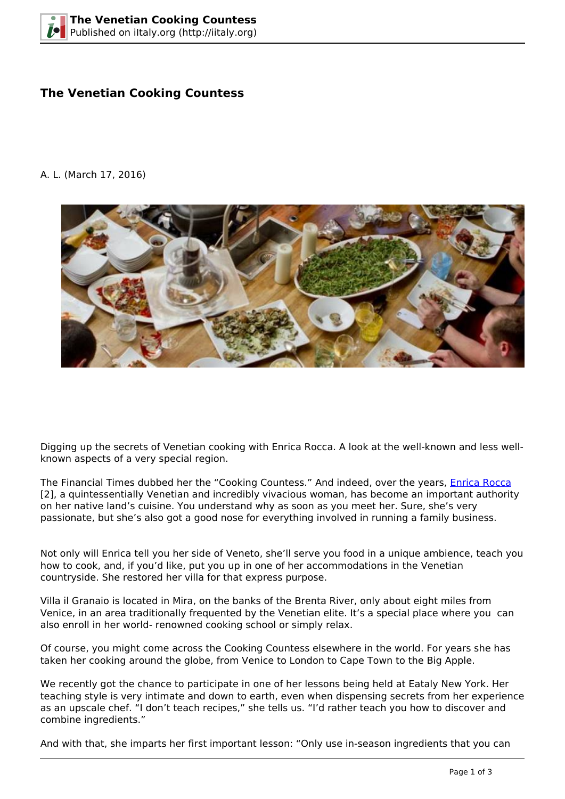# **The Venetian Cooking Countess**

#### A. L. (March 17, 2016)



Digging up the secrets of Venetian cooking with Enrica Rocca. A look at the well-known and less wellknown aspects of a very special region.

The Financial Times dubbed her the "Cooking Countess." And indeed, over the years, *Enrica Rocca* [2], a quintessentially Venetian and incredibly vivacious woman, has become an important authority on her native land's cuisine. You understand why as soon as you meet her. Sure, she's very passionate, but she's also got a good nose for everything involved in running a family business.

Not only will Enrica tell you her side of Veneto, she'll serve you food in a unique ambience, teach you how to cook, and, if you'd like, put you up in one of her accommodations in the Venetian countryside. She restored her villa for that express purpose.

Villa il Granaio is located in Mira, on the banks of the Brenta River, only about eight miles from Venice, in an area traditionally frequented by the Venetian elite. It's a special place where you can also enroll in her world- renowned cooking school or simply relax.

Of course, you might come across the Cooking Countess elsewhere in the world. For years she has taken her cooking around the globe, from Venice to London to Cape Town to the Big Apple.

We recently got the chance to participate in one of her lessons being held at Eataly New York. Her teaching style is very intimate and down to earth, even when dispensing secrets from her experience as an upscale chef. "I don't teach recipes," she tells us. "I'd rather teach you how to discover and combine ingredients."

And with that, she imparts her first important lesson: "Only use in-season ingredients that you can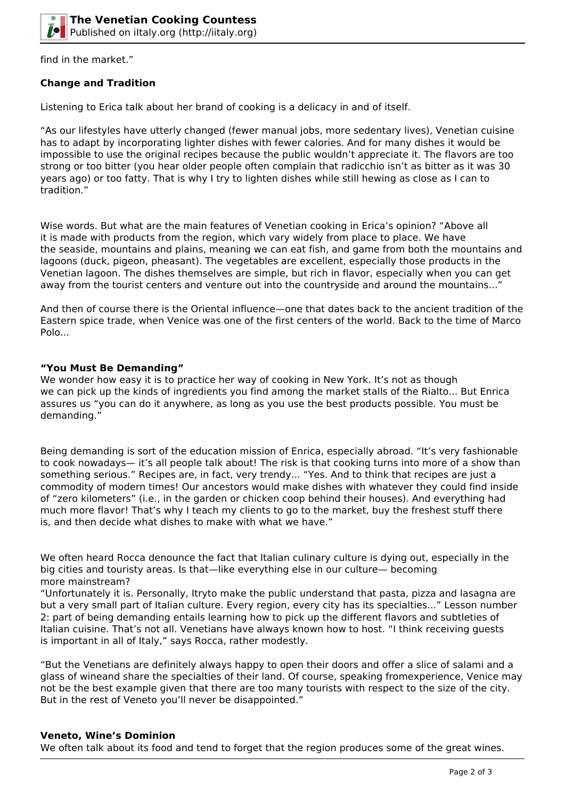

find in the market."

## **Change and Tradition**

Listening to Erica talk about her brand of cooking is a delicacy in and of itself.

"As our lifestyles have utterly changed (fewer manual jobs, more sedentary lives), Venetian cuisine has to adapt by incorporating lighter dishes with fewer calories. And for many dishes it would be impossible to use the original recipes because the public wouldn't appreciate it. The flavors are too strong or too bitter (you hear older people often complain that radicchio isn't as bitter as it was 30 years ago) or too fatty. That is why I try to lighten dishes while still hewing as close as I can to tradition."

Wise words. But what are the main features of Venetian cooking in Erica's opinion? "Above all it is made with products from the region, which vary widely from place to place. We have the seaside, mountains and plains, meaning we can eat fish, and game from both the mountains and lagoons (duck, pigeon, pheasant). The vegetables are excellent, especially those products in the Venetian lagoon. The dishes themselves are simple, but rich in flavor, especially when you can get away from the tourist centers and venture out into the countryside and around the mountains..."

And then of course there is the Oriental influence—one that dates back to the ancient tradition of the Eastern spice trade, when Venice was one of the first centers of the world. Back to the time of Marco Polo...

### **"You Must Be Demanding"**

We wonder how easy it is to practice her way of cooking in New York. It's not as though we can pick up the kinds of ingredients you find among the market stalls of the Rialto... But Enrica assures us "you can do it anywhere, as long as you use the best products possible. You must be demanding."

Being demanding is sort of the education mission of Enrica, especially abroad. "It's very fashionable to cook nowadays— it's all people talk about! The risk is that cooking turns into more of a show than something serious." Recipes are, in fact, very trendy... "Yes. And to think that recipes are just a commodity of modern times! Our ancestors would make dishes with whatever they could find inside of "zero kilometers" (i.e., in the garden or chicken coop behind their houses). And everything had much more flavor! That's why I teach my clients to go to the market, buy the freshest stuff there is, and then decide what dishes to make with what we have."

We often heard Rocca denounce the fact that Italian culinary culture is dying out, especially in the big cities and touristy areas. Is that—like everything else in our culture— becoming more mainstream?

"Unfortunately it is. Personally, Itryto make the public understand that pasta, pizza and lasagna are but a very small part of Italian culture. Every region, every city has its specialties..." Lesson number 2: part of being demanding entails learning how to pick up the different flavors and subtleties of Italian cuisine. That's not all. Venetians have always known how to host. "I think receiving guests is important in all of Italy," says Rocca, rather modestly.

"But the Venetians are definitely always happy to open their doors and offer a slice of salami and a glass of wineand share the specialties of their land. Of course, speaking fromexperience, Venice may not be the best example given that there are too many tourists with respect to the size of the city. But in the rest of Veneto you'll never be disappointed."

#### **Veneto, Wine's Dominion**

We often talk about its food and tend to forget that the region produces some of the great wines.